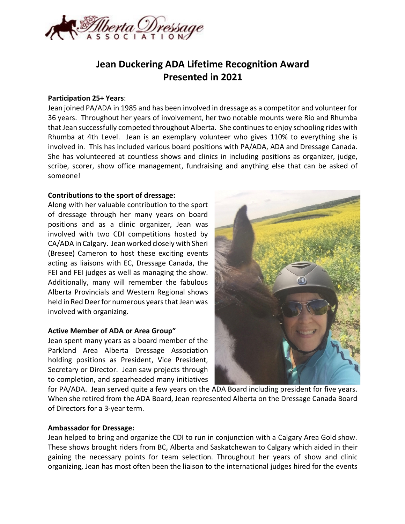

# **Jean Duckering ADA Lifetime Recognition Award Presented in 2021**

### **Participation 25+ Years**:

Jean joined PA/ADA in 1985 and has been involved in dressage as a competitor and volunteer for 36 years. Throughout her years of involvement, her two notable mounts were Rio and Rhumba that Jean successfully competed throughout Alberta. She continues to enjoy schooling rides with Rhumba at 4th Level. Jean is an exemplary volunteer who gives 110% to everything she is involved in. This has included various board positions with PA/ADA, ADA and Dressage Canada. She has volunteered at countless shows and clinics in including positions as organizer, judge, scribe, scorer, show office management, fundraising and anything else that can be asked of someone!

### **Contributions to the sport of dressage:**

Along with her valuable contribution to the sport of dressage through her many years on board positions and as a clinic organizer, Jean was involved with two CDI competitions hosted by CA/ADA in Calgary. Jean worked closely with Sheri (Bresee) Cameron to host these exciting events acting as liaisons with EC, Dressage Canada, the FEI and FEI judges as well as managing the show. Additionally, many will remember the fabulous Alberta Provincials and Western Regional shows held in Red Deer for numerous years that Jean was involved with organizing.

### **Active Member of ADA or Area Group"**

Jean spent many years as a board member of the Parkland Area Alberta Dressage Association holding positions as President, Vice President, Secretary or Director. Jean saw projects through to completion, and spearheaded many initiatives



for PA/ADA. Jean served quite a few years on the ADA Board including president for five years. When she retired from the ADA Board, Jean represented Alberta on the Dressage Canada Board of Directors for a 3-year term.

#### **Ambassador for Dressage:**

Jean helped to bring and organize the CDI to run in conjunction with a Calgary Area Gold show. These shows brought riders from BC, Alberta and Saskatchewan to Calgary which aided in their gaining the necessary points for team selection. Throughout her years of show and clinic organizing, Jean has most often been the liaison to the international judges hired for the events